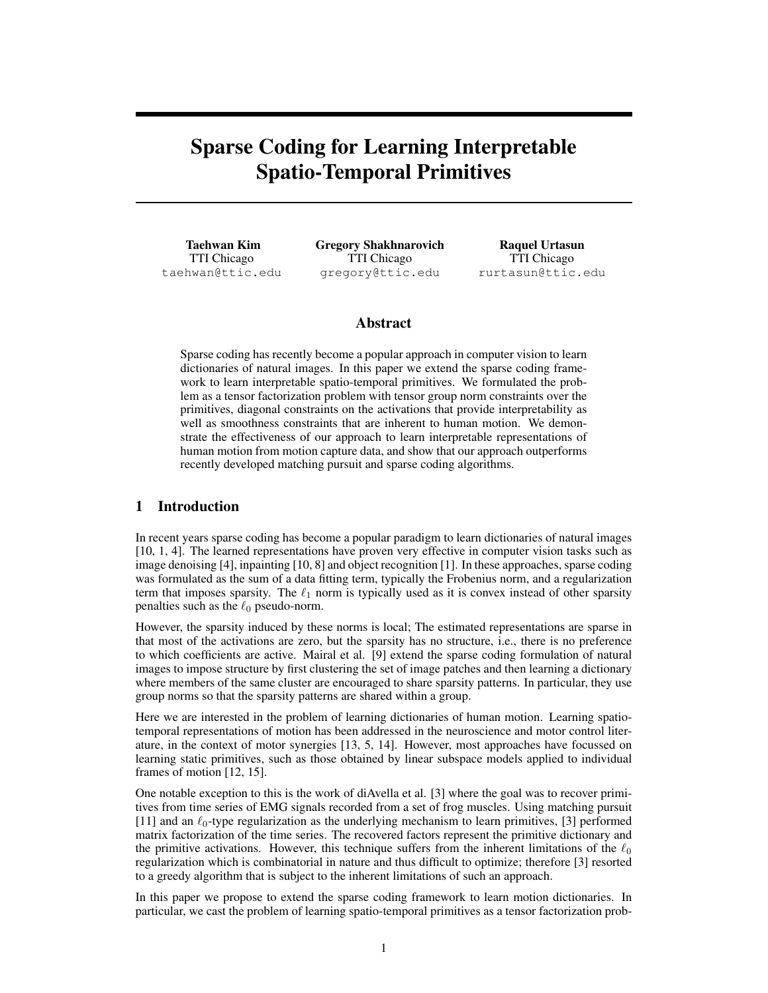# Sparse Coding for Learning Interpretable Spatio-Temporal Primitives

Taehwan Kim TTI Chicago taehwan@ttic.edu Gregory Shakhnarovich TTI Chicago gregory@ttic.edu

Raquel Urtasun TTI Chicago rurtasun@ttic.edu

## Abstract

Sparse coding has recently become a popular approach in computer vision to learn dictionaries of natural images. In this paper we extend the sparse coding framework to learn interpretable spatio-temporal primitives. We formulated the problem as a tensor factorization problem with tensor group norm constraints over the primitives, diagonal constraints on the activations that provide interpretability as well as smoothness constraints that are inherent to human motion. We demonstrate the effectiveness of our approach to learn interpretable representations of human motion from motion capture data, and show that our approach outperforms recently developed matching pursuit and sparse coding algorithms.

# 1 Introduction

In recent years sparse coding has become a popular paradigm to learn dictionaries of natural images [10, 1, 4]. The learned representations have proven very effective in computer vision tasks such as image denoising [4], inpainting [10, 8] and object recognition [1]. In these approaches, sparse coding was formulated as the sum of a data fitting term, typically the Frobenius norm, and a regularization term that imposes sparsity. The  $\ell_1$  norm is typically used as it is convex instead of other sparsity penalties such as the  $\ell_0$  pseudo-norm.

However, the sparsity induced by these norms is local; The estimated representations are sparse in that most of the activations are zero, but the sparsity has no structure, i.e., there is no preference to which coefficients are active. Mairal et al. [9] extend the sparse coding formulation of natural images to impose structure by first clustering the set of image patches and then learning a dictionary where members of the same cluster are encouraged to share sparsity patterns. In particular, they use group norms so that the sparsity patterns are shared within a group.

Here we are interested in the problem of learning dictionaries of human motion. Learning spatiotemporal representations of motion has been addressed in the neuroscience and motor control literature, in the context of motor synergies [13, 5, 14]. However, most approaches have focussed on learning static primitives, such as those obtained by linear subspace models applied to individual frames of motion [12, 15].

One notable exception to this is the work of diAvella et al. [3] where the goal was to recover primitives from time series of EMG signals recorded from a set of frog muscles. Using matching pursuit [11] and an  $\ell_0$ -type regularization as the underlying mechanism to learn primitives, [3] performed matrix factorization of the time series. The recovered factors represent the primitive dictionary and the primitive activations. However, this technique suffers from the inherent limitations of the  $\ell_0$ regularization which is combinatorial in nature and thus difficult to optimize; therefore [3] resorted to a greedy algorithm that is subject to the inherent limitations of such an approach.

In this paper we propose to extend the sparse coding framework to learn motion dictionaries. In particular, we cast the problem of learning spatio-temporal primitives as a tensor factorization prob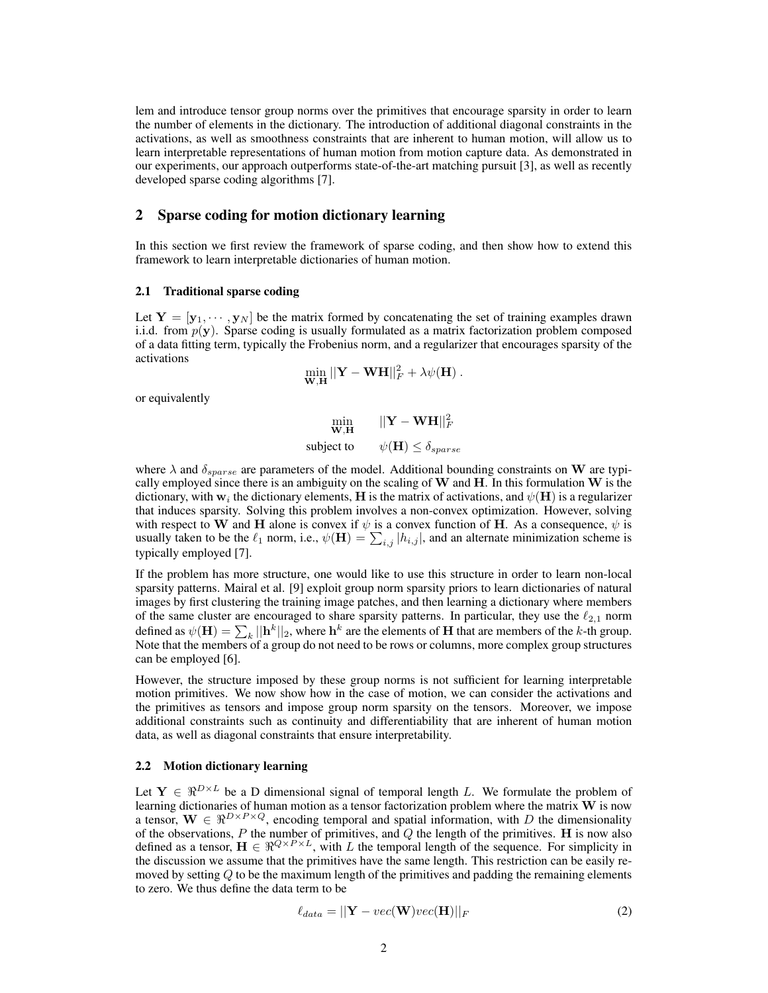lem and introduce tensor group norms over the primitives that encourage sparsity in order to learn the number of elements in the dictionary. The introduction of additional diagonal constraints in the activations, as well as smoothness constraints that are inherent to human motion, will allow us to learn interpretable representations of human motion from motion capture data. As demonstrated in our experiments, our approach outperforms state-of-the-art matching pursuit [3], as well as recently developed sparse coding algorithms [7].

## 2 Sparse coding for motion dictionary learning

In this section we first review the framework of sparse coding, and then show how to extend this framework to learn interpretable dictionaries of human motion.

#### 2.1 Traditional sparse coding

Let  $Y = [\mathbf{y}_1, \dots, \mathbf{y}_N]$  be the matrix formed by concatenating the set of training examples drawn i.i.d. from  $p(y)$ . Sparse coding is usually formulated as a matrix factorization problem composed of a data fitting term, typically the Frobenius norm, and a regularizer that encourages sparsity of the activations

$$
\min_{\mathbf{W},\mathbf{H}} ||\mathbf{Y}-\mathbf{W}\mathbf{H}||_F^2 + \lambda \psi(\mathbf{H}).
$$

or equivalently

$$
\min_{\mathbf{W}, \mathbf{H}} \quad ||\mathbf{Y} - \mathbf{W}\mathbf{H}||_F^2
$$
\n
$$
\text{subject to} \quad \psi(\mathbf{H}) \le \delta_{sparse}
$$

where  $\lambda$  and  $\delta_{sparse}$  are parameters of the model. Additional bounding constraints on W are typically employed since there is an ambiguity on the scaling of  $W$  and  $H$ . In this formulation  $W$  is the dictionary, with  ${\bf w}_i$  the dictionary elements,  ${\bf H}$  is the matrix of activations, and  $\psi({\bf H})$  is a regularizer that induces sparsity. Solving this problem involves a non-convex optimization. However, solving with respect to W and H alone is convex if  $\psi$  is a convex function of H. As a consequence,  $\psi$  is usually taken to be the  $\ell_1$  norm, i.e.,  $\psi(\mathbf{H}) = \sum_{i,j} |h_{i,j}|$ , and an alternate minimization scheme is typically employed [7].

If the problem has more structure, one would like to use this structure in order to learn non-local sparsity patterns. Mairal et al. [9] exploit group norm sparsity priors to learn dictionaries of natural images by first clustering the training image patches, and then learning a dictionary where members of the same cluster are encouraged to share sparsity patterns. In particular, they use the  $\ell_{2,1}$  norm defined as  $\psi(\mathbf{H}) = \sum_k ||\mathbf{h}^k||_2$ , where  $\mathbf{h}^k$  are the elements of  $\mathbf H$  that are members of the  $k$ -th group. Note that the members of a group do not need to be rows or columns, more complex group structures can be employed [6].

However, the structure imposed by these group norms is not sufficient for learning interpretable motion primitives. We now show how in the case of motion, we can consider the activations and the primitives as tensors and impose group norm sparsity on the tensors. Moreover, we impose additional constraints such as continuity and differentiability that are inherent of human motion data, as well as diagonal constraints that ensure interpretability.

### 2.2 Motion dictionary learning

Let  $Y \in \mathbb{R}^{D \times L}$  be a D dimensional signal of temporal length L. We formulate the problem of learning dictionaries of human motion as a tensor factorization problem where the matrix W is now a tensor,  $\mathbf{W} \in \mathbb{R}^{D \times P \times Q}$ , encoding temporal and spatial information, with D the dimensionality of the observations,  $P$  the number of primitives, and  $Q$  the length of the primitives. H is now also defined as a tensor,  $\mathbf{H} \in \mathbb{R}^{Q \times P \times L}$ , with L the temporal length of the sequence. For simplicity in the discussion we assume that the primitives have the same length. This restriction can be easily removed by setting  $Q$  to be the maximum length of the primitives and padding the remaining elements to zero. We thus define the data term to be

$$
\ell_{data} = ||\mathbf{Y} - vec(\mathbf{W})vec(\mathbf{H})||_F
$$
\n(2)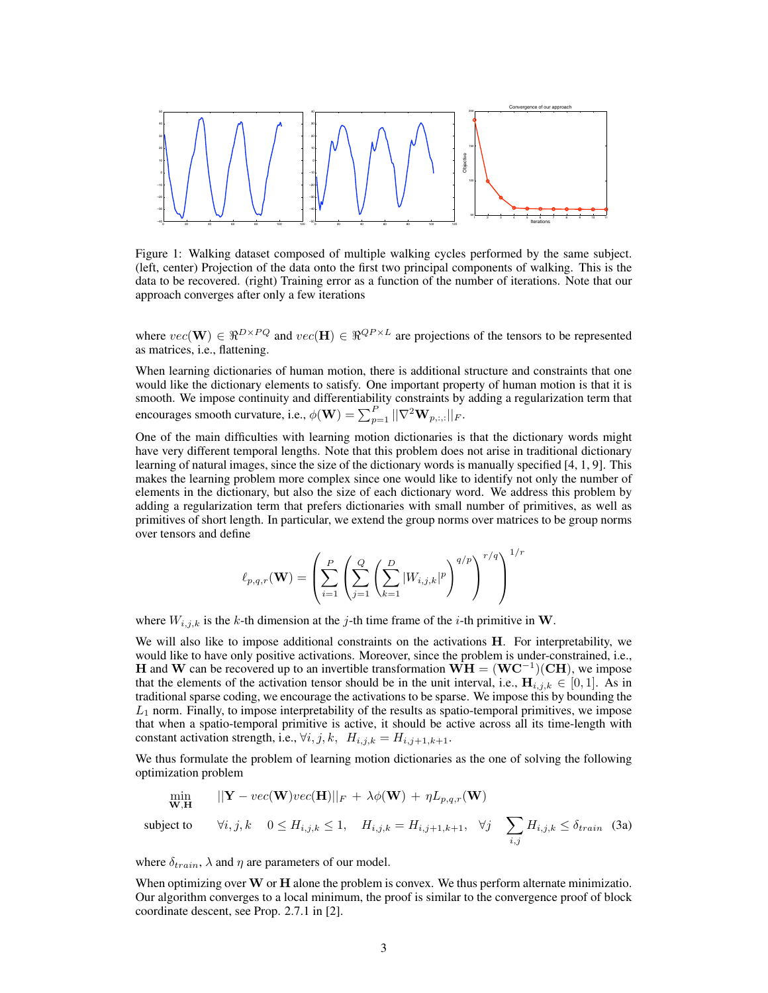

Figure 1: Walking dataset composed of multiple walking cycles performed by the same subject. (left, center) Projection of the data onto the first two principal components of walking. This is the data to be recovered. (right) Training error as a function of the number of iterations. Note that our approach converges after only a few iterations

where  $vec(\mathbf{W}) \in \Re^{D \times PQ}$  and  $vec(\mathbf{H}) \in \Re^{QP \times L}$  are projections of the tensors to be represented as matrices, i.e., flattening.

When learning dictionaries of human motion, there is additional structure and constraints that one would like the dictionary elements to satisfy. One important property of human motion is that it is smooth. We impose continuity and differentiability constraints by adding a regularization term that encourages smooth curvature, i.e.,  $\phi(\mathbf{W}) = \sum_{p=1}^{P} ||\nabla^2 \mathbf{W}_{p,:,:}||_F$ .

One of the main difficulties with learning motion dictionaries is that the dictionary words might have very different temporal lengths. Note that this problem does not arise in traditional dictionary learning of natural images, since the size of the dictionary words is manually specified [4, 1, 9]. This makes the learning problem more complex since one would like to identify not only the number of elements in the dictionary, but also the size of each dictionary word. We address this problem by adding a regularization term that prefers dictionaries with small number of primitives, as well as primitives of short length. In particular, we extend the group norms over matrices to be group norms over tensors and define

$$
\ell_{p,q,r}(\mathbf{W}) = \left(\sum_{i=1}^{P} \left(\sum_{j=1}^{Q} \left(\sum_{k=1}^{D} |W_{i,j,k}|^{p}\right)^{q/p}\right)^{r/q}\right)^{1/r}
$$

where  $W_{i,j,k}$  is the k-th dimension at the j-th time frame of the *i*-th primitive in W.

We will also like to impose additional constraints on the activations H. For interpretability, we would like to have only positive activations. Moreover, since the problem is under-constrained, i.e., H and W can be recovered up to an invertible transformation  $\mathbf{WH} = (\mathbf{WC}^{-1})(\mathbf{CH})$ , we impose that the elements of the activation tensor should be in the unit interval, i.e.,  $\mathbf{H}_{i,j,k} \in [0,1]$ . As in traditional sparse coding, we encourage the activations to be sparse. We impose this by bounding the  $L_1$  norm. Finally, to impose interpretability of the results as spatio-temporal primitives, we impose that when a spatio-temporal primitive is active, it should be active across all its time-length with constant activation strength, i.e.,  $\forall i, j, k, H_{i,j,k} = H_{i,j+1,k+1}.$ 

We thus formulate the problem of learning motion dictionaries as the one of solving the following optimization problem

$$
\min_{\mathbf{W},\mathbf{H}} \qquad ||\mathbf{Y} - vec(\mathbf{W})vec(\mathbf{H})||_F + \lambda \phi(\mathbf{W}) + \eta L_{p,q,r}(\mathbf{W})
$$

subject to 
$$
\forall i, j, k \quad 0 \le H_{i,j,k} \le 1
$$
,  $H_{i,j,k} = H_{i,j+1,k+1}$ ,  $\forall j \sum_{i,j} H_{i,j,k} \le \delta_{train}$  (3a)

where  $\delta_{train}$ ,  $\lambda$  and  $\eta$  are parameters of our model.

When optimizing over  $W$  or  $H$  alone the problem is convex. We thus perform alternate minimizatio. Our algorithm converges to a local minimum, the proof is similar to the convergence proof of block coordinate descent, see Prop. 2.7.1 in [2].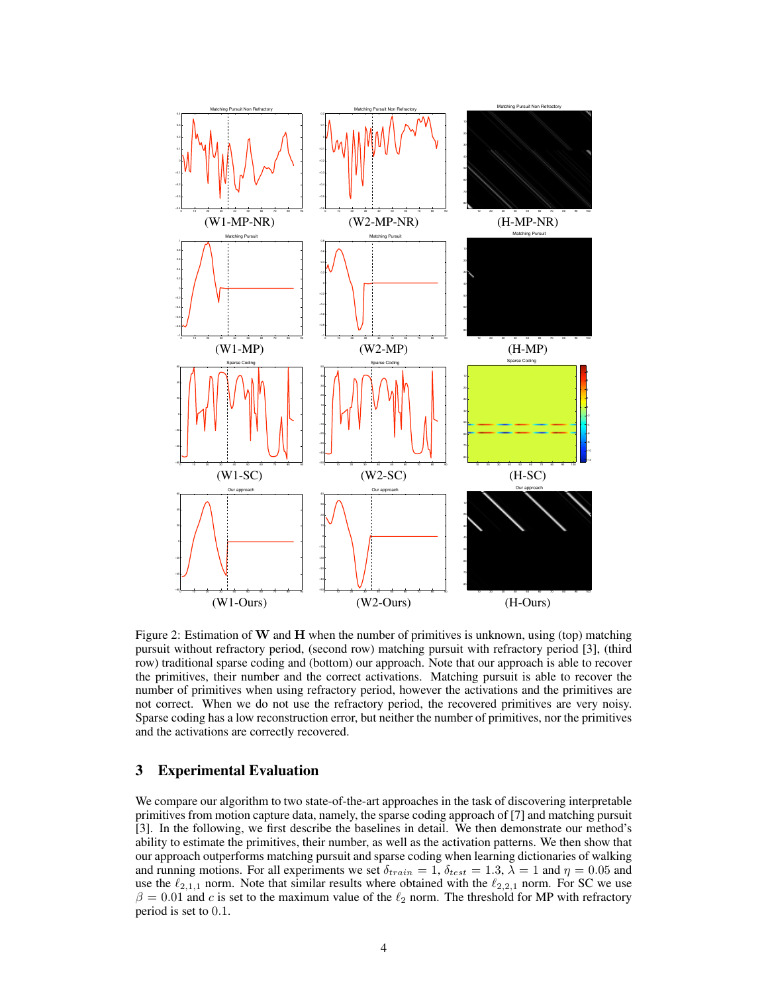

Figure 2: Estimation of W and H when the number of primitives is unknown, using (top) matching pursuit without refractory period, (second row) matching pursuit with refractory period [3], (third row) traditional sparse coding and (bottom) our approach. Note that our approach is able to recover the primitives, their number and the correct activations. Matching pursuit is able to recover the number of primitives when using refractory period, however the activations and the primitives are not correct. When we do not use the refractory period, the recovered primitives are very noisy. Sparse coding has a low reconstruction error, but neither the number of primitives, nor the primitives and the activations are correctly recovered.

## 3 Experimental Evaluation

We compare our algorithm to two state-of-the-art approaches in the task of discovering interpretable primitives from motion capture data, namely, the sparse coding approach of [7] and matching pursuit [3]. In the following, we first describe the baselines in detail. We then demonstrate our method's ability to estimate the primitives, their number, as well as the activation patterns. We then show that our approach outperforms matching pursuit and sparse coding when learning dictionaries of walking and running motions. For all experiments we set  $\delta_{train} = 1$ ,  $\delta_{test} = 1.3$ ,  $\lambda = 1$  and  $\eta = 0.05$  and use the  $\ell_{2,1,1}$  norm. Note that similar results where obtained with the  $\ell_{2,2,1}$  norm. For SC we use  $\beta = 0.01$  and c is set to the maximum value of the  $\ell_2$  norm. The threshold for MP with refractory period is set to 0.1.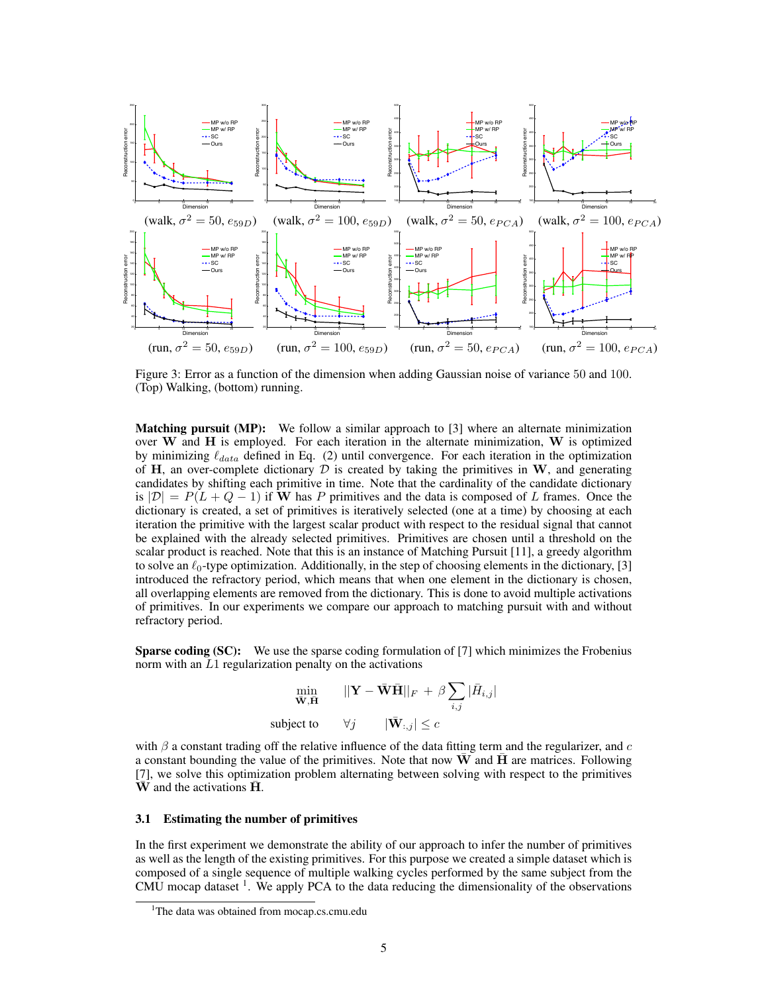

Figure 3: Error as a function of the dimension when adding Gaussian noise of variance 50 and 100. (Top) Walking, (bottom) running.

**Matching pursuit (MP):** We follow a similar approach to [3] where an alternate minimization over  $W$  and  $H$  is employed. For each iteration in the alternate minimization,  $W$  is optimized by minimizing  $\ell_{data}$  defined in Eq. (2) until convergence. For each iteration in the optimization of H, an over-complete dictionary  $D$  is created by taking the primitives in W, and generating candidates by shifting each primitive in time. Note that the cardinality of the candidate dictionary is  $|\mathcal{D}| = P(L + Q - 1)$  if W has P primitives and the data is composed of L frames. Once the dictionary is created, a set of primitives is iteratively selected (one at a time) by choosing at each iteration the primitive with the largest scalar product with respect to the residual signal that cannot be explained with the already selected primitives. Primitives are chosen until a threshold on the scalar product is reached. Note that this is an instance of Matching Pursuit [11], a greedy algorithm to solve an  $\ell_0$ -type optimization. Additionally, in the step of choosing elements in the dictionary, [3] introduced the refractory period, which means that when one element in the dictionary is chosen, all overlapping elements are removed from the dictionary. This is done to avoid multiple activations of primitives. In our experiments we compare our approach to matching pursuit with and without refractory period.

Sparse coding (SC): We use the sparse coding formulation of [7] which minimizes the Frobenius norm with an  $L1$  regularization penalty on the activations

$$
\min_{\mathbf{\bar{W}}, \mathbf{\bar{H}}} \qquad ||\mathbf{Y} - \bar{\mathbf{W}} \bar{\mathbf{H}}||_F + \beta \sum_{i,j} |\bar{H}_{i,j}|
$$
\n
$$
\text{subject to} \qquad \forall j \qquad |\bar{\mathbf{W}}_{:,j}| \le c
$$

with  $\beta$  a constant trading off the relative influence of the data fitting term and the regularizer, and c a constant bounding the value of the primitives. Note that now  $\bf{W}$  and  $\bf{H}$  are matrices. Following [7], we solve this optimization problem alternating between solving with respect to the primitives  $\overline{W}$  and the activations  $H$ .

#### 3.1 Estimating the number of primitives

In the first experiment we demonstrate the ability of our approach to infer the number of primitives as well as the length of the existing primitives. For this purpose we created a simple dataset which is composed of a single sequence of multiple walking cycles performed by the same subject from the CMU mocap dataset  $<sup>1</sup>$ . We apply PCA to the data reducing the dimensionality of the observations</sup>

<sup>&</sup>lt;sup>1</sup>The data was obtained from mocap.cs.cmu.edu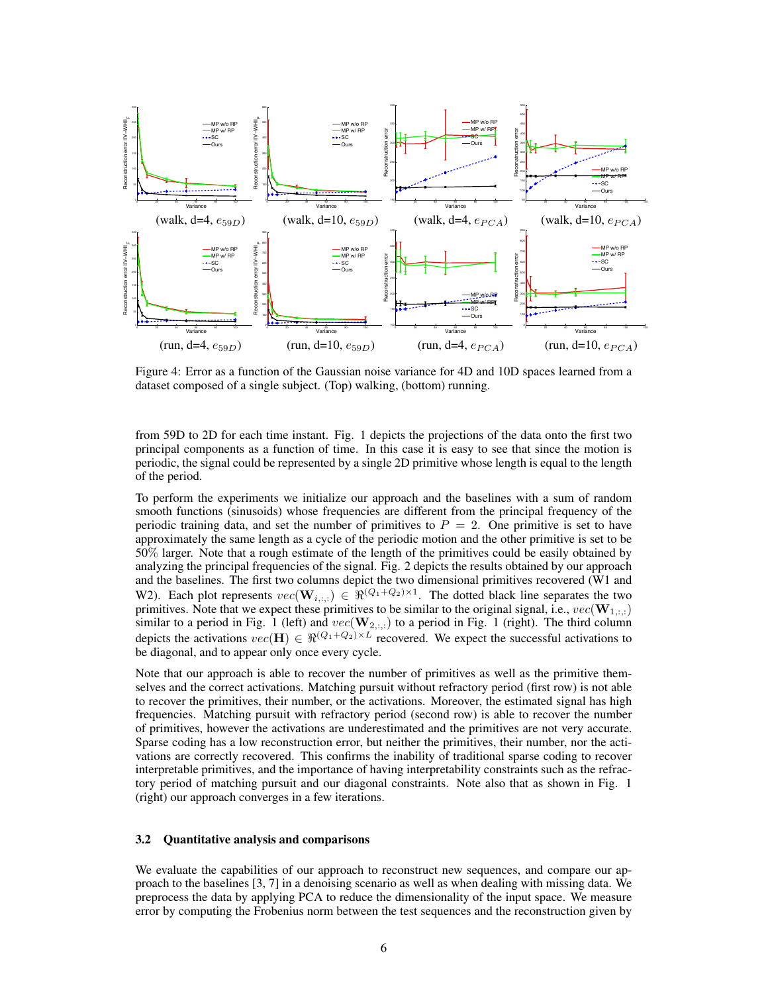

Figure 4: Error as a function of the Gaussian noise variance for 4D and 10D spaces learned from a dataset composed of a single subject. (Top) walking, (bottom) running.

from 59D to 2D for each time instant. Fig. 1 depicts the projections of the data onto the first two principal components as a function of time. In this case it is easy to see that since the motion is periodic, the signal could be represented by a single 2D primitive whose length is equal to the length of the period.

To perform the experiments we initialize our approach and the baselines with a sum of random smooth functions (sinusoids) whose frequencies are different from the principal frequency of the periodic training data, and set the number of primitives to  $P = 2$ . One primitive is set to have approximately the same length as a cycle of the periodic motion and the other primitive is set to be 50% larger. Note that a rough estimate of the length of the primitives could be easily obtained by analyzing the principal frequencies of the signal. Fig. 2 depicts the results obtained by our approach and the baselines. The first two columns depict the two dimensional primitives recovered (W1 and W2). Each plot represents  $vec(\mathbf{W}_{i,:,:}) \in \Re^{(Q_1+Q_2)\times 1}$ . The dotted black line separates the two primitives. Note that we expect these primitives to be similar to the original signal, i.e.,  $vec(\mathbf{W}_{1,:,:})$ similar to a period in Fig. 1 (left) and  $vec(\mathbf{W}_{2,:,:})$  to a period in Fig. 1 (right). The third column depicts the activations  $vec(\mathbf{H}) \in \mathbb{R}^{(Q_1+Q_2)\times L}$  recovered. We expect the successful activations to be diagonal, and to appear only once every cycle.

Note that our approach is able to recover the number of primitives as well as the primitive themselves and the correct activations. Matching pursuit without refractory period (first row) is not able to recover the primitives, their number, or the activations. Moreover, the estimated signal has high frequencies. Matching pursuit with refractory period (second row) is able to recover the number of primitives, however the activations are underestimated and the primitives are not very accurate. Sparse coding has a low reconstruction error, but neither the primitives, their number, nor the activations are correctly recovered. This confirms the inability of traditional sparse coding to recover interpretable primitives, and the importance of having interpretability constraints such as the refractory period of matching pursuit and our diagonal constraints. Note also that as shown in Fig. 1 (right) our approach converges in a few iterations.

#### 3.2 Quantitative analysis and comparisons

We evaluate the capabilities of our approach to reconstruct new sequences, and compare our approach to the baselines [3, 7] in a denoising scenario as well as when dealing with missing data. We preprocess the data by applying PCA to reduce the dimensionality of the input space. We measure error by computing the Frobenius norm between the test sequences and the reconstruction given by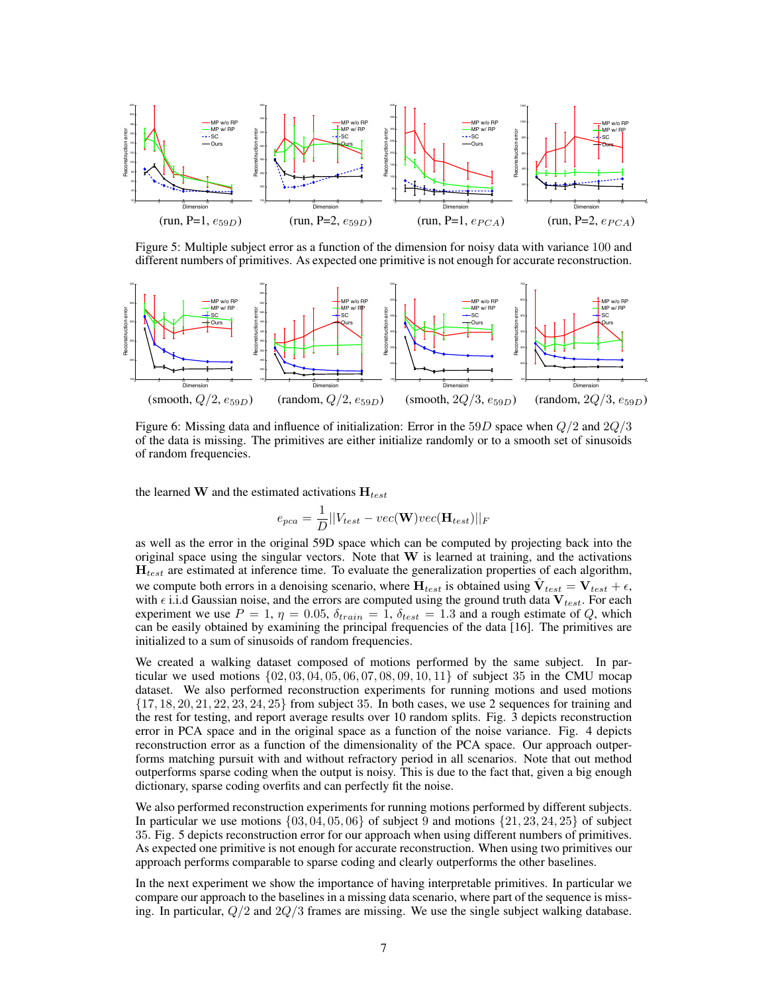

Figure 5: Multiple subject error as a function of the dimension for noisy data with variance 100 and different numbers of primitives. As expected one primitive is not enough for accurate reconstruction.



Figure 6: Missing data and influence of initialization: Error in the 59D space when  $Q/2$  and  $2Q/3$ of the data is missing. The primitives are either initialize randomly or to a smooth set of sinusoids of random frequencies.

the learned W and the estimated activations  $H_{test}$ 

$$
e_{pca} = \frac{1}{D} ||V_{test} - vec(\mathbf{W})vec(\mathbf{H}_{test})||_F
$$

as well as the error in the original 59D space which can be computed by projecting back into the original space using the singular vectors. Note that  $W$  is learned at training, and the activations  $H_{test}$  are estimated at inference time. To evaluate the generalization properties of each algorithm, we compute both errors in a denoising scenario, where  $H_{test}$  is obtained using  $\hat{V}_{test} = V_{test} + \epsilon$ , with  $\epsilon$  i.i.d Gaussian noise, and the errors are computed using the ground truth data  $V_{test}$ . For each experiment we use  $P = 1$ ,  $\eta = 0.05$ ,  $\delta_{train} = 1$ ,  $\delta_{test} = 1.3$  and a rough estimate of Q, which can be easily obtained by examining the principal frequencies of the data [16]. The primitives are initialized to a sum of sinusoids of random frequencies.

We created a walking dataset composed of motions performed by the same subject. In particular we used motions  $\{02, 03, 04, 05, 06, 07, 08, 09, 10, 11\}$  of subject 35 in the CMU mocap dataset. We also performed reconstruction experiments for running motions and used motions  $\{17, 18, 20, 21, 22, 23, 24, 25\}$  from subject 35. In both cases, we use 2 sequences for training and the rest for testing, and report average results over 10 random splits. Fig. 3 depicts reconstruction error in PCA space and in the original space as a function of the noise variance. Fig. 4 depicts reconstruction error as a function of the dimensionality of the PCA space. Our approach outperforms matching pursuit with and without refractory period in all scenarios. Note that out method outperforms sparse coding when the output is noisy. This is due to the fact that, given a big enough dictionary, sparse coding overfits and can perfectly fit the noise.

We also performed reconstruction experiments for running motions performed by different subjects. In particular we use motions  $\{03, 04, 05, 06\}$  of subject 9 and motions  $\{21, 23, 24, 25\}$  of subject 35. Fig. 5 depicts reconstruction error for our approach when using different numbers of primitives. As expected one primitive is not enough for accurate reconstruction. When using two primitives our approach performs comparable to sparse coding and clearly outperforms the other baselines.

In the next experiment we show the importance of having interpretable primitives. In particular we compare our approach to the baselines in a missing data scenario, where part of the sequence is missing. In particular,  $Q/2$  and  $2Q/3$  frames are missing. We use the single subject walking database.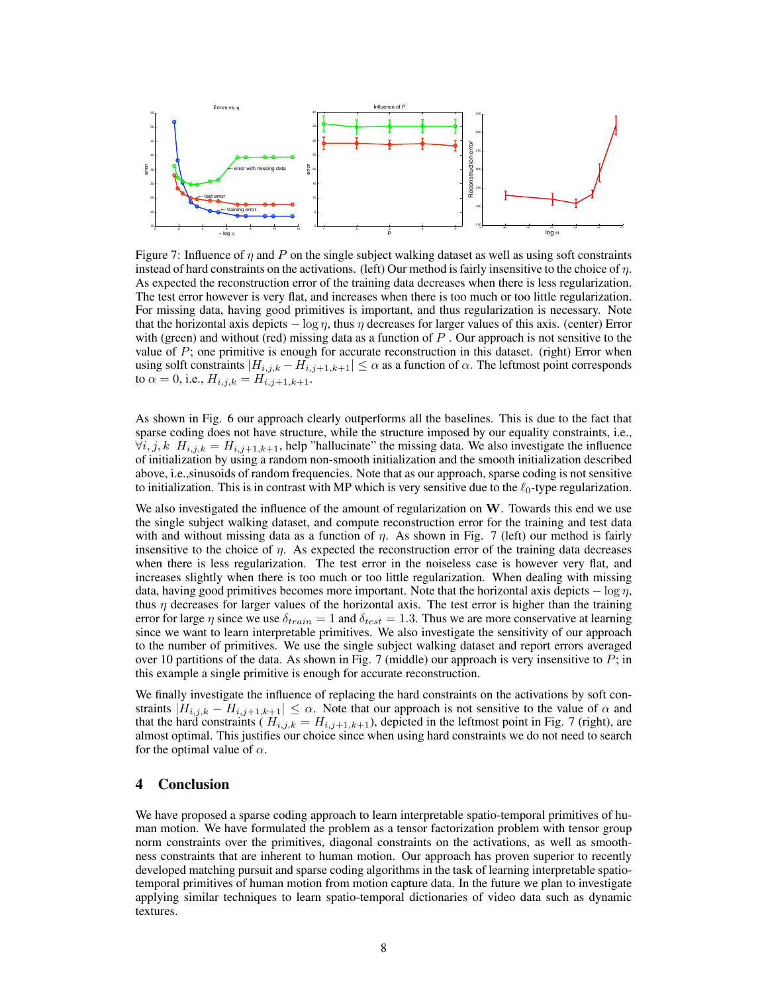

Figure 7: Influence of  $\eta$  and P on the single subject walking dataset as well as using soft constraints instead of hard constraints on the activations. (left) Our method is fairly insensitive to the choice of  $\eta$ . As expected the reconstruction error of the training data decreases when there is less regularization. The test error however is very flat, and increases when there is too much or too little regularization. For missing data, having good primitives is important, and thus regularization is necessary. Note that the horizontal axis depicts  $-\log \eta$ , thus  $\eta$  decreases for larger values of this axis. (center) Error with (green) and without (red) missing data as a function of  $P$ . Our approach is not sensitive to the value of  $P$ ; one primitive is enough for accurate reconstruction in this dataset. (right) Error when using solft constraints  $|H_{i,j,k} - H_{i,j+1,k+1}| \leq \alpha$  as a function of  $\alpha$ . The leftmost point corresponds to  $\alpha = 0$ , i.e.,  $H_{i,j,k} = H_{i,j+1,k+1}$ .

As shown in Fig. 6 our approach clearly outperforms all the baselines. This is due to the fact that sparse coding does not have structure, while the structure imposed by our equality constraints, i.e.,  $\forall i, j, k$   $H_{i,j,k} = H_{i,j+1,k+1}$ , help "hallucinate" the missing data. We also investigate the influence of initialization by using a random non-smooth initialization and the smooth initialization described above, i.e.,sinusoids of random frequencies. Note that as our approach, sparse coding is not sensitive to initialization. This is in contrast with MP which is very sensitive due to the  $\ell_0$ -type regularization.

We also investigated the influence of the amount of regularization on  $W$ . Towards this end we use the single subject walking dataset, and compute reconstruction error for the training and test data with and without missing data as a function of  $\eta$ . As shown in Fig. 7 (left) our method is fairly insensitive to the choice of  $\eta$ . As expected the reconstruction error of the training data decreases when there is less regularization. The test error in the noiseless case is however very flat, and increases slightly when there is too much or too little regularization. When dealing with missing data, having good primitives becomes more important. Note that the horizontal axis depicts  $-\log \eta$ , thus  $\eta$  decreases for larger values of the horizontal axis. The test error is higher than the training error for large  $\eta$  since we use  $\delta_{train} = 1$  and  $\delta_{test} = 1.3$ . Thus we are more conservative at learning since we want to learn interpretable primitives. We also investigate the sensitivity of our approach to the number of primitives. We use the single subject walking dataset and report errors averaged over 10 partitions of the data. As shown in Fig. 7 (middle) our approach is very insensitive to  $P$ ; in this example a single primitive is enough for accurate reconstruction.

We finally investigate the influence of replacing the hard constraints on the activations by soft constraints  $|H_{i,j,k} - H_{i,j+1,k+1}| \leq \alpha$ . Note that our approach is not sensitive to the value of  $\alpha$  and that the hard constraints ( $H_{i,j,k} = H_{i,j+1,k+1}$ ), depicted in the leftmost point in Fig. 7 (right), are almost optimal. This justifies our choice since when using hard constraints we do not need to search for the optimal value of  $\alpha$ .

# 4 Conclusion

We have proposed a sparse coding approach to learn interpretable spatio-temporal primitives of human motion. We have formulated the problem as a tensor factorization problem with tensor group norm constraints over the primitives, diagonal constraints on the activations, as well as smoothness constraints that are inherent to human motion. Our approach has proven superior to recently developed matching pursuit and sparse coding algorithms in the task of learning interpretable spatiotemporal primitives of human motion from motion capture data. In the future we plan to investigate applying similar techniques to learn spatio-temporal dictionaries of video data such as dynamic textures.